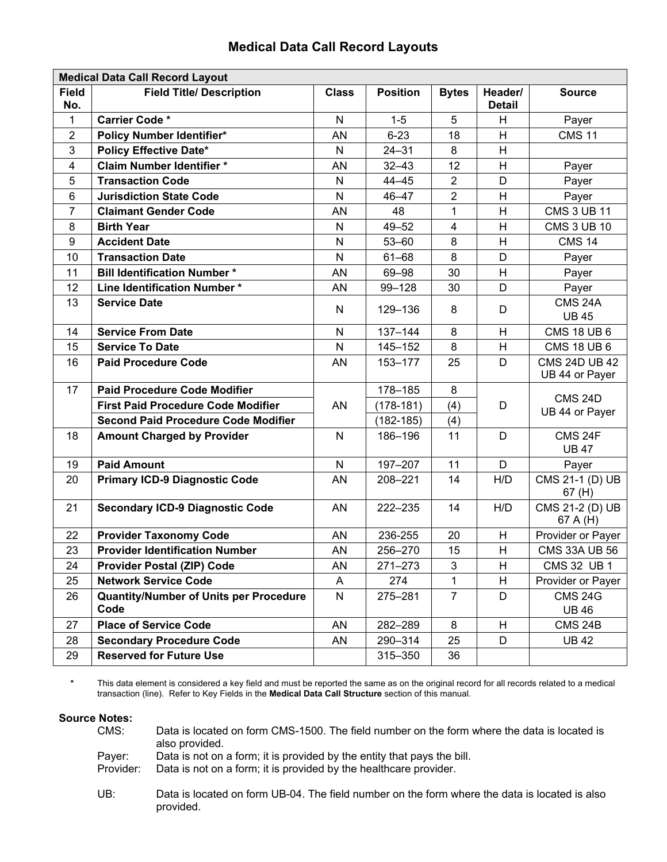## **Medical Data Call Record Layouts**

| <b>Medical Data Call Record Layout</b> |                                                       |              |                 |                         |                          |                                        |
|----------------------------------------|-------------------------------------------------------|--------------|-----------------|-------------------------|--------------------------|----------------------------------------|
| <b>Field</b><br>No.                    | <b>Field Title/ Description</b>                       | <b>Class</b> | <b>Position</b> | <b>Bytes</b>            | Header/<br><b>Detail</b> | <b>Source</b>                          |
| 1                                      | <b>Carrier Code *</b>                                 | N            | $1 - 5$         | 5                       | Н                        | Payer                                  |
| $\overline{2}$                         | <b>Policy Number Identifier*</b>                      | AN           | $6 - 23$        | 18                      | H                        | <b>CMS 11</b>                          |
| $\mathbf{3}$                           | <b>Policy Effective Date*</b>                         | $\mathsf{N}$ | $24 - 31$       | 8                       | H                        |                                        |
| 4                                      | <b>Claim Number Identifier *</b>                      | AN           | $32 - 43$       | 12                      | H                        | Payer                                  |
| 5                                      | <b>Transaction Code</b>                               | $\mathsf{N}$ | $44 - 45$       | $\overline{2}$          | D                        | Payer                                  |
| $\,6$                                  | <b>Jurisdiction State Code</b>                        | $\mathsf{N}$ | $46 - 47$       | $\overline{2}$          | H                        | Payer                                  |
| $\overline{7}$                         | <b>Claimant Gender Code</b>                           | AN           | 48              | $\mathbf{1}$            | Н                        | <b>CMS 3 UB 11</b>                     |
| 8                                      | <b>Birth Year</b>                                     | $\mathsf{N}$ | $49 - 52$       | $\overline{\mathbf{4}}$ | H                        | <b>CMS 3 UB 10</b>                     |
| $\boldsymbol{9}$                       | <b>Accident Date</b>                                  | N            | $53 - 60$       | 8                       | H                        | <b>CMS 14</b>                          |
| 10                                     | <b>Transaction Date</b>                               | N            | $61 - 68$       | 8                       | D                        | Payer                                  |
| 11                                     | <b>Bill Identification Number *</b>                   | AN           | 69-98           | 30                      | H                        | Payer                                  |
| 12                                     | Line Identification Number*                           | AN           | 99-128          | 30                      | D                        | Payer                                  |
| 13                                     | <b>Service Date</b>                                   | $\mathsf{N}$ | 129-136         | 8                       | D                        | <b>CMS 24A</b><br><b>UB 45</b>         |
| 14                                     | <b>Service From Date</b>                              | $\mathsf{N}$ | 137-144         | 8                       | Н                        | <b>CMS 18 UB 6</b>                     |
| 15                                     | <b>Service To Date</b>                                | $\mathsf{N}$ | 145-152         | 8                       | H                        | <b>CMS 18 UB 6</b>                     |
| 16                                     | <b>Paid Procedure Code</b>                            | AN           | 153-177         | 25                      | D                        | <b>CMS 24D UB 42</b><br>UB 44 or Payer |
| 17                                     | <b>Paid Procedure Code Modifier</b>                   |              | 178-185         | 8                       |                          |                                        |
|                                        | <b>First Paid Procedure Code Modifier</b>             | AN           | $(178-181)$     | (4)                     | D                        | <b>CMS 24D</b><br>UB 44 or Payer       |
|                                        | <b>Second Paid Procedure Code Modifier</b>            |              | $(182 - 185)$   | (4)                     |                          |                                        |
| 18                                     | <b>Amount Charged by Provider</b>                     | $\mathsf{N}$ | 186-196         | 11                      | D                        | CMS 24F<br><b>UB 47</b>                |
| 19                                     | <b>Paid Amount</b>                                    | $\mathsf{N}$ | 197-207         | 11                      | D                        | Payer                                  |
| 20                                     | <b>Primary ICD-9 Diagnostic Code</b>                  | AN           | 208-221         | 14                      | H/D                      | CMS 21-1 (D) UB<br>67(H)               |
| 21                                     | <b>Secondary ICD-9 Diagnostic Code</b>                | AN           | 222-235         | 14                      | H/D                      | CMS 21-2 (D) UB<br>67 A (H)            |
| 22                                     | <b>Provider Taxonomy Code</b>                         | AN           | 236-255         | 20                      | Н                        | Provider or Payer                      |
| 23                                     | <b>Provider Identification Number</b>                 | AN           | 256-270         | 15                      | H                        | <b>CMS 33A UB 56</b>                   |
| 24                                     | <b>Provider Postal (ZIP) Code</b>                     | AN           | 271-273         | 3                       | Н                        | CMS 32 UB 1                            |
| 25                                     | <b>Network Service Code</b>                           | A            | 274             | 1                       | н                        | Provider or Payer                      |
| 26                                     | <b>Quantity/Number of Units per Procedure</b><br>Code | N            | 275-281         | $\overline{7}$          | D                        | <b>CMS 24G</b><br><b>UB 46</b>         |
| 27                                     | <b>Place of Service Code</b>                          | AN           | 282-289         | 8                       | H                        | CMS 24B                                |
| 28                                     | <b>Secondary Procedure Code</b>                       | AN           | 290-314         | 25                      | D                        | <b>UB42</b>                            |
| 29                                     | <b>Reserved for Future Use</b>                        |              | 315 - 350       | 36                      |                          |                                        |

**\*** This data element is considered a key field and must be reported the same as on the original record for all records related to a medical transaction (line). Refer to Key Fields in the **Medical Data Call Structure** section of this manual.

## **Source Notes:**

| CMS:      | Data is located on form CMS-1500. The field number on the form where the data is located is<br>also provided. |
|-----------|---------------------------------------------------------------------------------------------------------------|
| Paver:    | Data is not on a form; it is provided by the entity that pays the bill.                                       |
| Provider: | Data is not on a form; it is provided by the healthcare provider.                                             |
|           |                                                                                                               |

 UB: Data is located on form UB-04. The field number on the form where the data is located is also provided.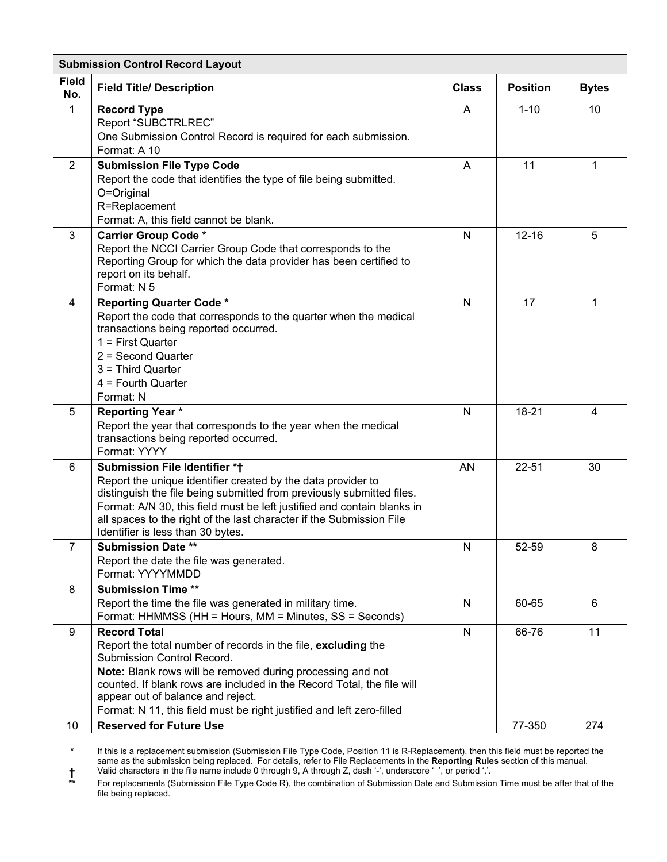| <b>Submission Control Record Layout</b> |                                                                                                                                                                                                                                                                                                                                                                          |              |                 |                |  |
|-----------------------------------------|--------------------------------------------------------------------------------------------------------------------------------------------------------------------------------------------------------------------------------------------------------------------------------------------------------------------------------------------------------------------------|--------------|-----------------|----------------|--|
| <b>Field</b><br>No.                     | <b>Field Title/ Description</b>                                                                                                                                                                                                                                                                                                                                          | <b>Class</b> | <b>Position</b> | <b>Bytes</b>   |  |
| $\mathbf 1$                             | <b>Record Type</b><br>Report "SUBCTRLREC"<br>One Submission Control Record is required for each submission.<br>Format: A 10                                                                                                                                                                                                                                              | A            | $1 - 10$        | 10             |  |
| $\overline{2}$                          | <b>Submission File Type Code</b><br>Report the code that identifies the type of file being submitted.<br>O=Original<br>R=Replacement<br>Format: A, this field cannot be blank.                                                                                                                                                                                           | A            | 11              | $\mathbf{1}$   |  |
| 3                                       | <b>Carrier Group Code *</b><br>Report the NCCI Carrier Group Code that corresponds to the<br>Reporting Group for which the data provider has been certified to<br>report on its behalf.<br>Format: N 5                                                                                                                                                                   | N            | $12 - 16$       | 5              |  |
| 4                                       | <b>Reporting Quarter Code *</b><br>Report the code that corresponds to the quarter when the medical<br>transactions being reported occurred.<br>$1 =$ First Quarter<br>$2 =$ Second Quarter<br>$3 =$ Third Quarter<br>$4 =$ Fourth Quarter<br>Format: N                                                                                                                  | N            | 17              | 1              |  |
| 5                                       | <b>Reporting Year*</b><br>Report the year that corresponds to the year when the medical<br>transactions being reported occurred.<br>Format: YYYY                                                                                                                                                                                                                         | $\mathsf{N}$ | $18 - 21$       | $\overline{4}$ |  |
| 6                                       | Submission File Identifier *+<br>Report the unique identifier created by the data provider to<br>distinguish the file being submitted from previously submitted files.<br>Format: A/N 30, this field must be left justified and contain blanks in<br>all spaces to the right of the last character if the Submission File<br>Identifier is less than 30 bytes.           | AN           | $22 - 51$       | 30             |  |
| 7                                       | <b>Submission Date **</b><br>Report the date the file was generated.<br>Format: YYYYMMDD                                                                                                                                                                                                                                                                                 | N            | 52-59           | 8              |  |
| 8                                       | <b>Submission Time **</b><br>Report the time the file was generated in military time.<br>Format: HHMMSS (HH = Hours, MM = Minutes, SS = Seconds)                                                                                                                                                                                                                         | N            | 60-65           | 6              |  |
| 9                                       | <b>Record Total</b><br>Report the total number of records in the file, excluding the<br>Submission Control Record.<br>Note: Blank rows will be removed during processing and not<br>counted. If blank rows are included in the Record Total, the file will<br>appear out of balance and reject.<br>Format: N 11, this field must be right justified and left zero-filled | N            | 66-76           | 11             |  |
| 10                                      | <b>Reserved for Future Use</b>                                                                                                                                                                                                                                                                                                                                           |              | 77-350          | 274            |  |

**\*** If this is a replacement submission (Submission File Type Code, Position 11 is R-Replacement), then this field must be reported the same as the submission being replaced. For details, refer to File Replacements in the **Reporting Rules** section of this manual. **†** Valid characters in the file name include 0 through 9, A through Z, dash '-', underscore '\_', or period '.'.

**\*\*** For replacements (Submission File Type Code R), the combination of Submission Date and Submission Time must be after that of the **Formation** of Submission Date and Submission Time must be after that of the file being replaced.